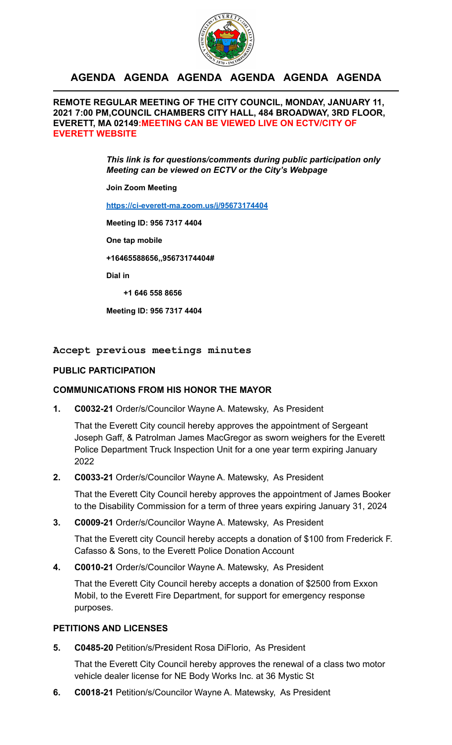

## **AGENDA AGENDA AGENDA AGENDA AGENDA AGENDA**

**REMOTE REGULAR MEETING OF THE CITY COUNCIL, MONDAY, JANUARY 11, 2021 7:00 PM,COUNCIL CHAMBERS CITY HALL, 484 BROADWAY, 3RD FLOOR, EVERETT, MA 02149:MEETING CAN BE VIEWED LIVE ON ECTV/CITY OF EVERETT WEBSITE**

> *This link is for questions/comments during public participation only Meeting can be viewed on ECTV or the City's Webpage*

**Join Zoom Meeting** 

**<https://ci-everett-ma.zoom.us/j/95673174404>**

**Meeting ID: 956 7317 4404** 

**One tap mobile** 

**+16465588656,,95673174404#** 

**Dial in** 

 **+1 646 558 8656** 

**Meeting ID: 956 7317 4404** 

**Accept previous meetings minutes** 

#### **PUBLIC PARTICIPATION**

#### **COMMUNICATIONS FROM HIS HONOR THE MAYOR**

**1. C0032-21** Order/s/Councilor Wayne A. Matewsky, As President

That the Everett City council hereby approves the appointment of Sergeant Joseph Gaff, & Patrolman James MacGregor as sworn weighers for the Everett Police Department Truck Inspection Unit for a one year term expiring January 2022

**2. C0033-21** Order/s/Councilor Wayne A. Matewsky, As President

That the Everett City Council hereby approves the appointment of James Booker to the Disability Commission for a term of three years expiring January 31, 2024

**3. C0009-21** Order/s/Councilor Wayne A. Matewsky, As President

That the Everett city Council hereby accepts a donation of \$100 from Frederick F. Cafasso & Sons, to the Everett Police Donation Account

**4. C0010-21** Order/s/Councilor Wayne A. Matewsky, As President

That the Everett City Council hereby accepts a donation of \$2500 from Exxon Mobil, to the Everett Fire Department, for support for emergency response purposes.

#### **PETITIONS AND LICENSES**

**5. C0485-20** Petition/s/President Rosa DiFlorio, As President

That the Everett City Council hereby approves the renewal of a class two motor vehicle dealer license for NE Body Works Inc. at 36 Mystic St

**6. C0018-21** Petition/s/Councilor Wayne A. Matewsky, As President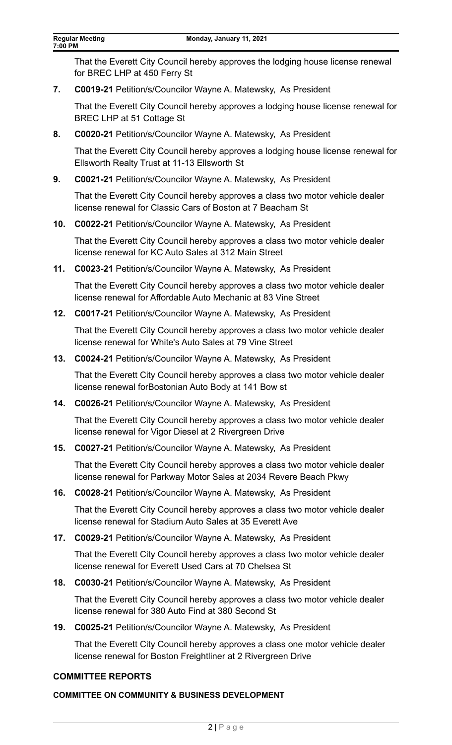That the Everett City Council hereby approves the lodging house license renewal for BREC LHP at 450 Ferry St

**7. C0019-21** Petition/s/Councilor Wayne A. Matewsky, As President

That the Everett City Council hereby approves a lodging house license renewal for BREC LHP at 51 Cottage St

**8. C0020-21** Petition/s/Councilor Wayne A. Matewsky, As President

That the Everett City Council hereby approves a lodging house license renewal for Ellsworth Realty Trust at 11-13 Ellsworth St

**9. C0021-21** Petition/s/Councilor Wayne A. Matewsky, As President

That the Everett City Council hereby approves a class two motor vehicle dealer license renewal for Classic Cars of Boston at 7 Beacham St

**10. C0022-21** Petition/s/Councilor Wayne A. Matewsky, As President

That the Everett City Council hereby approves a class two motor vehicle dealer license renewal for KC Auto Sales at 312 Main Street

**11. C0023-21** Petition/s/Councilor Wayne A. Matewsky, As President

That the Everett City Council hereby approves a class two motor vehicle dealer license renewal for Affordable Auto Mechanic at 83 Vine Street

**12. C0017-21** Petition/s/Councilor Wayne A. Matewsky, As President

That the Everett City Council hereby approves a class two motor vehicle dealer license renewal for White's Auto Sales at 79 Vine Street

**13. C0024-21** Petition/s/Councilor Wayne A. Matewsky, As President

That the Everett City Council hereby approves a class two motor vehicle dealer license renewal forBostonian Auto Body at 141 Bow st

**14. C0026-21** Petition/s/Councilor Wayne A. Matewsky, As President

That the Everett City Council hereby approves a class two motor vehicle dealer license renewal for Vigor Diesel at 2 Rivergreen Drive

**15. C0027-21** Petition/s/Councilor Wayne A. Matewsky, As President

That the Everett City Council hereby approves a class two motor vehicle dealer license renewal for Parkway Motor Sales at 2034 Revere Beach Pkwy

**16. C0028-21** Petition/s/Councilor Wayne A. Matewsky, As President

That the Everett City Council hereby approves a class two motor vehicle dealer license renewal for Stadium Auto Sales at 35 Everett Ave

**17. C0029-21** Petition/s/Councilor Wayne A. Matewsky, As President

That the Everett City Council hereby approves a class two motor vehicle dealer license renewal for Everett Used Cars at 70 Chelsea St

**18. C0030-21** Petition/s/Councilor Wayne A. Matewsky, As President

That the Everett City Council hereby approves a class two motor vehicle dealer license renewal for 380 Auto Find at 380 Second St

**19. C0025-21** Petition/s/Councilor Wayne A. Matewsky, As President

That the Everett City Council hereby approves a class one motor vehicle dealer license renewal for Boston Freightliner at 2 Rivergreen Drive

#### **COMMITTEE REPORTS**

#### **COMMITTEE ON COMMUNITY & BUSINESS DEVELOPMENT**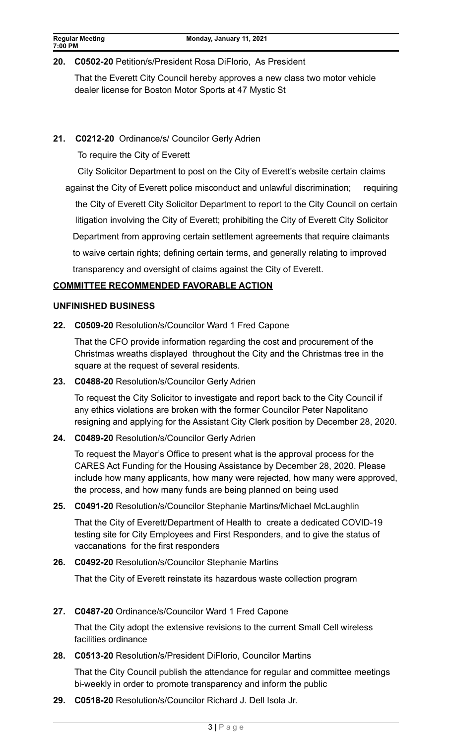## **20. C0502-20** Petition/s/President Rosa DiFlorio, As President

That the Everett City Council hereby approves a new class two motor vehicle dealer license for Boston Motor Sports at 47 Mystic St

## **21. C0212-20** Ordinance/s/ Councilor Gerly Adrien

To require the City of Everett

City Solicitor Department to post on the City of Everett's website certain claims

 against the City of Everett police misconduct and unlawful discrimination; requiring the City of Everett City Solicitor Department to report to the City Council on certain litigation involving the City of Everett; prohibiting the City of Everett City Solicitor Department from approving certain settlement agreements that require claimants to waive certain rights; defining certain terms, and generally relating to improved transparency and oversight of claims against the City of Everett.

## **COMMITTEE RECOMMENDED FAVORABLE ACTION**

#### **UNFINISHED BUSINESS**

**22. C0509-20** Resolution/s/Councilor Ward 1 Fred Capone

That the CFO provide information regarding the cost and procurement of the Christmas wreaths displayed throughout the City and the Christmas tree in the square at the request of several residents.

## **23. C0488-20** Resolution/s/Councilor Gerly Adrien

To request the City Solicitor to investigate and report back to the City Council if any ethics violations are broken with the former Councilor Peter Napolitano resigning and applying for the Assistant City Clerk position by December 28, 2020.

## **24. C0489-20** Resolution/s/Councilor Gerly Adrien

To request the Mayor's Office to present what is the approval process for the CARES Act Funding for the Housing Assistance by December 28, 2020. Please include how many applicants, how many were rejected, how many were approved, the process, and how many funds are being planned on being used

#### **25. C0491-20** Resolution/s/Councilor Stephanie Martins/Michael McLaughlin

That the City of Everett/Department of Health to create a dedicated COVID-19 testing site for City Employees and First Responders, and to give the status of vaccanations for the first responders

## **26. C0492-20** Resolution/s/Councilor Stephanie Martins

That the City of Everett reinstate its hazardous waste collection program

## **27. C0487-20** Ordinance/s/Councilor Ward 1 Fred Capone

That the City adopt the extensive revisions to the current Small Cell wireless facilities ordinance

## **28. C0513-20** Resolution/s/President DiFlorio, Councilor Martins

That the City Council publish the attendance for regular and committee meetings bi-weekly in order to promote transparency and inform the public

**29. C0518-20** Resolution/s/Councilor Richard J. Dell Isola Jr.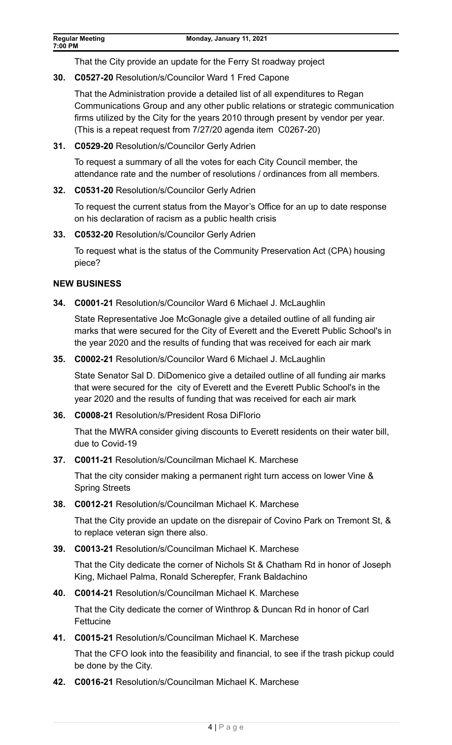That the City provide an update for the Ferry St roadway project

**30. C0527-20** Resolution/s/Councilor Ward 1 Fred Capone

That the Administration provide a detailed list of all expenditures to Regan Communications Group and any other public relations or strategic communication firms utilized by the City for the years 2010 through present by vendor per year. (This is a repeat request from 7/27/20 agenda item C0267-20)

**31. C0529-20** Resolution/s/Councilor Gerly Adrien

To request a summary of all the votes for each City Council member, the attendance rate and the number of resolutions / ordinances from all members.

**32. C0531-20** Resolution/s/Councilor Gerly Adrien

To request the current status from the Mayor's Office for an up to date response on his declaration of racism as a public health crisis

**33. C0532-20** Resolution/s/Councilor Gerly Adrien

To request what is the status of the Community Preservation Act (CPA) housing piece?

## **NEW BUSINESS**

**34. C0001-21** Resolution/s/Councilor Ward 6 Michael J. McLaughlin

State Representative Joe McGonagle give a detailed outline of all funding air marks that were secured for the City of Everett and the Everett Public School's in the year 2020 and the results of funding that was received for each air mark

**35. C0002-21** Resolution/s/Councilor Ward 6 Michael J. McLaughlin

State Senator Sal D. DiDomenico give a detailed outline of all funding air marks that were secured for the city of Everett and the Everett Public School's in the year 2020 and the results of funding that was received for each air mark

**36. C0008-21** Resolution/s/President Rosa DiFlorio

That the MWRA consider giving discounts to Everett residents on their water bill, due to Covid-19

**37. C0011-21** Resolution/s/Councilman Michael K. Marchese

That the city consider making a permanent right turn access on lower Vine & Spring Streets

**38. C0012-21** Resolution/s/Councilman Michael K. Marchese

That the City provide an update on the disrepair of Covino Park on Tremont St, & to replace veteran sign there also.

**39. C0013-21** Resolution/s/Councilman Michael K. Marchese

That the City dedicate the corner of Nichols St & Chatham Rd in honor of Joseph King, Michael Palma, Ronald Scherepfer, Frank Baldachino

**40. C0014-21** Resolution/s/Councilman Michael K. Marchese

That the City dedicate the corner of Winthrop & Duncan Rd in honor of Carl Fettucine

**41. C0015-21** Resolution/s/Councilman Michael K. Marchese

That the CFO look into the feasibility and financial, to see if the trash pickup could be done by the City.

**42. C0016-21** Resolution/s/Councilman Michael K. Marchese